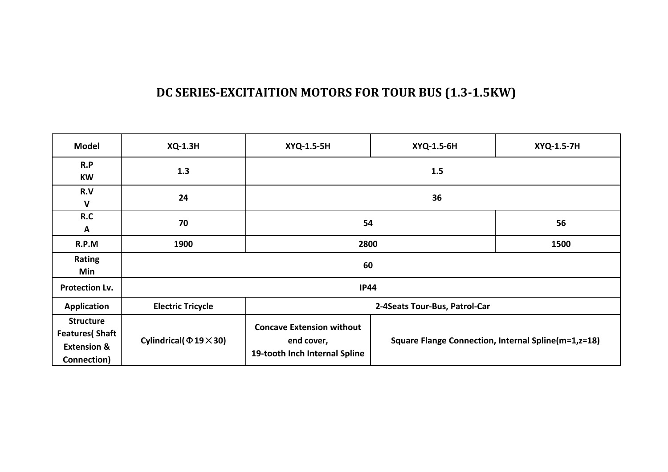### **DC SERIES-EXCITAITION MOTORS FOR TOUR BUS (1.3-1.5KW)**

| <b>Model</b>                                                                        | <b>XQ-1.3H</b>             | XYQ-1.5-5H                                                                                                                             | XYQ-1.5-6H                    | XYQ-1.5-7H |  |  |  |
|-------------------------------------------------------------------------------------|----------------------------|----------------------------------------------------------------------------------------------------------------------------------------|-------------------------------|------------|--|--|--|
| R.P<br><b>KW</b>                                                                    | 1.3                        | 1.5                                                                                                                                    |                               |            |  |  |  |
| R.V<br>$\mathsf{V}$                                                                 | 24                         | 36                                                                                                                                     |                               |            |  |  |  |
| R.C<br>A                                                                            | 70                         | 54                                                                                                                                     | 56                            |            |  |  |  |
| R.P.M                                                                               | 1900                       | 2800                                                                                                                                   | 1500                          |            |  |  |  |
| Rating<br>Min                                                                       |                            | 60                                                                                                                                     |                               |            |  |  |  |
| Protection Lv.                                                                      |                            | <b>IP44</b>                                                                                                                            |                               |            |  |  |  |
| Application                                                                         | <b>Electric Tricycle</b>   |                                                                                                                                        | 2-4Seats Tour-Bus, Patrol-Car |            |  |  |  |
| <b>Structure</b><br><b>Features</b> (Shaft<br><b>Extension &amp;</b><br>Connection) | Cylindrical( $\Phi$ 19×30) | <b>Concave Extension without</b><br>Square Flange Connection, Internal Spline(m=1,z=18)<br>end cover,<br>19-tooth Inch Internal Spline |                               |            |  |  |  |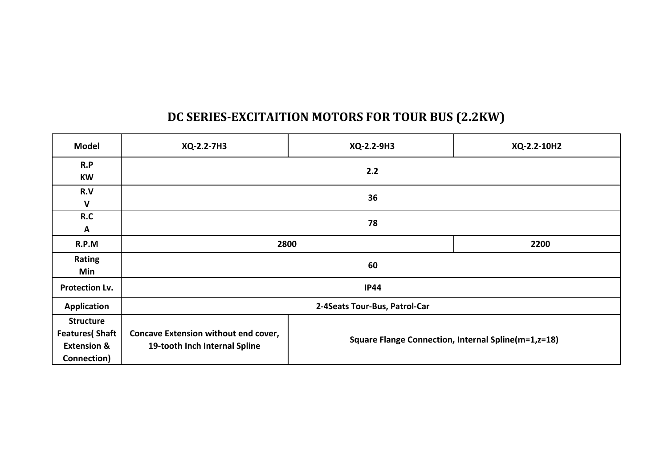### **DC SERIES-EXCITAITION MOTORS FOR TOUR BUS (2.2KW)**

| <b>Model</b>                                                                        | XQ-2.2-7H3                                                                   | XQ-2.2-9H3                                          | XQ-2.2-10H2 |  |  |
|-------------------------------------------------------------------------------------|------------------------------------------------------------------------------|-----------------------------------------------------|-------------|--|--|
| R.P<br><b>KW</b>                                                                    | 2.2                                                                          |                                                     |             |  |  |
| R.V<br>$\mathbf v$                                                                  | 36                                                                           |                                                     |             |  |  |
| R.C<br>A                                                                            | 78                                                                           |                                                     |             |  |  |
| R.P.M                                                                               | 2800<br>2200                                                                 |                                                     |             |  |  |
| Rating<br>Min                                                                       | 60                                                                           |                                                     |             |  |  |
| <b>Protection Lv.</b>                                                               |                                                                              | <b>IP44</b>                                         |             |  |  |
| <b>Application</b>                                                                  |                                                                              | 2-4Seats Tour-Bus, Patrol-Car                       |             |  |  |
| <b>Structure</b><br><b>Features</b> (Shaft<br><b>Extension &amp;</b><br>Connection) | <b>Concave Extension without end cover,</b><br>19-tooth Inch Internal Spline | Square Flange Connection, Internal Spline(m=1,z=18) |             |  |  |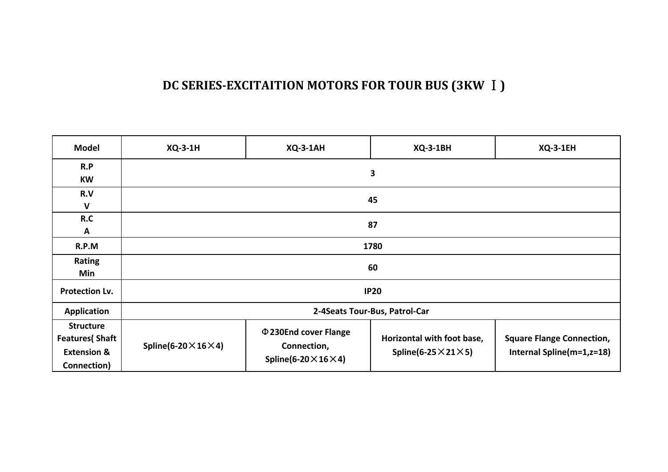### **DC SERIES-EXCITAITION MOTORS FOR TOUR BUS (3KW Ⅰ)**

| <b>Model</b>                                                                        | <b>XQ-3-1H</b>                      | <b>XQ-3-1AH</b>                                                                  | <b>XQ-3-1BH</b>                                                   | <b>XQ-3-1EH</b>                                               |  |  |  |
|-------------------------------------------------------------------------------------|-------------------------------------|----------------------------------------------------------------------------------|-------------------------------------------------------------------|---------------------------------------------------------------|--|--|--|
| R.P<br><b>KW</b>                                                                    |                                     | 3                                                                                |                                                                   |                                                               |  |  |  |
| R.V<br>$\mathsf{V}$                                                                 |                                     | 45                                                                               |                                                                   |                                                               |  |  |  |
| R.C<br>A                                                                            |                                     | 87                                                                               |                                                                   |                                                               |  |  |  |
| R.P.M                                                                               |                                     | 1780                                                                             |                                                                   |                                                               |  |  |  |
| <b>Rating</b><br>Min                                                                |                                     | 60                                                                               |                                                                   |                                                               |  |  |  |
| <b>Protection Lv.</b>                                                               |                                     |                                                                                  | <b>IP20</b>                                                       |                                                               |  |  |  |
| <b>Application</b>                                                                  |                                     |                                                                                  | 2-4Seats Tour-Bus, Patrol-Car                                     |                                                               |  |  |  |
| <b>Structure</b><br><b>Features</b> (Shaft<br><b>Extension &amp;</b><br>Connection) | Spline(6-20 $\times$ 16 $\times$ 4) | $\Phi$ 230End cover Flange<br>Connection,<br>Spline(6-20 $\times$ 16 $\times$ 4) | Horizontal with foot base,<br>Spline(6-25 $\times$ 21 $\times$ 5) | <b>Square Flange Connection,</b><br>Internal Spline(m=1,z=18) |  |  |  |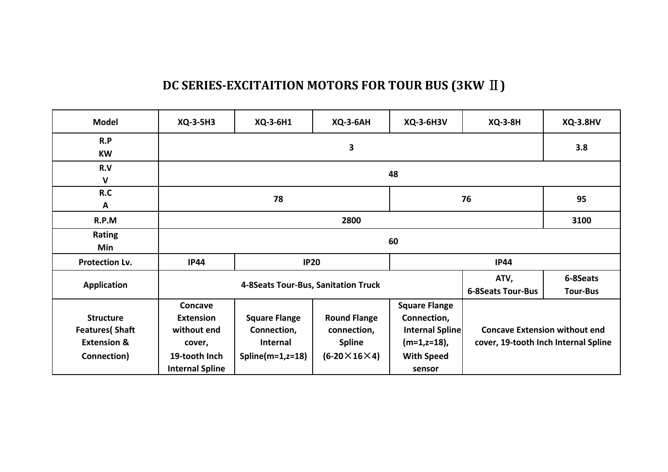# **DC SERIES-EXCITAITION MOTORS FOR TOUR BUS (3KW Ⅱ)**

| <b>Model</b>                                                                        | XQ-3-5H3                                                                                        | XQ-3-6H1                                                               | <b>XQ-3-6AH</b>                                                                    | <b>XQ-3-6H3V</b>                                                                                        | <b>XQ-3-8H</b>                                                               | <b>XQ-3.8HV</b>             |  |
|-------------------------------------------------------------------------------------|-------------------------------------------------------------------------------------------------|------------------------------------------------------------------------|------------------------------------------------------------------------------------|---------------------------------------------------------------------------------------------------------|------------------------------------------------------------------------------|-----------------------------|--|
| R.P<br><b>KW</b>                                                                    |                                                                                                 | 3                                                                      |                                                                                    |                                                                                                         |                                                                              |                             |  |
| R.V<br>$\mathbf v$                                                                  |                                                                                                 | 48                                                                     |                                                                                    |                                                                                                         |                                                                              |                             |  |
| R.C<br>A                                                                            | 78                                                                                              |                                                                        |                                                                                    |                                                                                                         | 76                                                                           | 95                          |  |
| R.P.M                                                                               |                                                                                                 | 2800                                                                   |                                                                                    |                                                                                                         |                                                                              |                             |  |
| <b>Rating</b><br>Min                                                                | 60                                                                                              |                                                                        |                                                                                    |                                                                                                         |                                                                              |                             |  |
| Protection Lv.                                                                      | <b>IP44</b>                                                                                     | <b>IP20</b>                                                            |                                                                                    |                                                                                                         | <b>IP44</b>                                                                  |                             |  |
| <b>Application</b>                                                                  |                                                                                                 | 4-8Seats Tour-Bus, Sanitation Truck                                    |                                                                                    |                                                                                                         | ATV,<br><b>6-8Seats Tour-Bus</b>                                             | 6-8Seats<br><b>Tour-Bus</b> |  |
| <b>Structure</b><br><b>Features</b> (Shaft<br><b>Extension &amp;</b><br>Connection) | Concave<br><b>Extension</b><br>without end<br>cover,<br>19-tooth Inch<br><b>Internal Spline</b> | <b>Square Flange</b><br>Connection,<br>Internal<br>Spline $(m=1,z=18)$ | <b>Round Flange</b><br>connection,<br><b>Spline</b><br>$(6-20 \times 16 \times 4)$ | <b>Square Flange</b><br>Connection,<br>Internal Spline<br>$(m=1,z=18)$ ,<br><b>With Speed</b><br>sensor | <b>Concave Extension without end</b><br>cover, 19-tooth Inch Internal Spline |                             |  |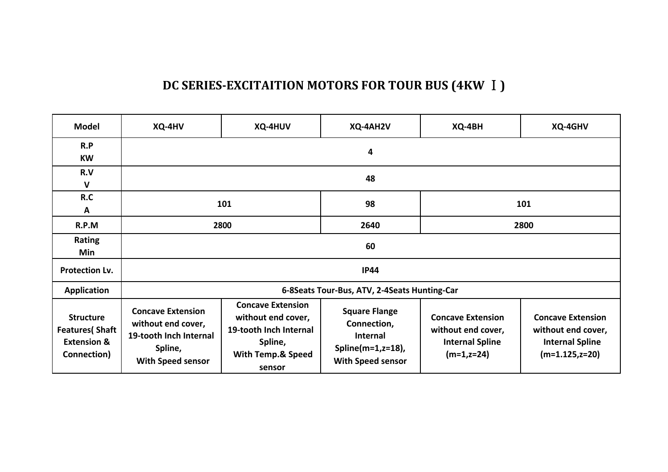### **DC SERIES-EXCITAITION MOTORS FOR TOUR BUS (4KW Ⅰ)**

| <b>Model</b>                                                                        | XQ-4HV                                                                                                   | XQ-4HUV                                                                                                                       | XQ-4AH2V                                                                                                     | XQ-4BH                                                                                    | XQ-4GHV                                                                                       |  |  |  |
|-------------------------------------------------------------------------------------|----------------------------------------------------------------------------------------------------------|-------------------------------------------------------------------------------------------------------------------------------|--------------------------------------------------------------------------------------------------------------|-------------------------------------------------------------------------------------------|-----------------------------------------------------------------------------------------------|--|--|--|
| R.P<br><b>KW</b>                                                                    |                                                                                                          | 4                                                                                                                             |                                                                                                              |                                                                                           |                                                                                               |  |  |  |
| R.V<br>$\mathsf{V}$                                                                 |                                                                                                          | 48                                                                                                                            |                                                                                                              |                                                                                           |                                                                                               |  |  |  |
| R.C<br>A                                                                            |                                                                                                          | 101                                                                                                                           | 98                                                                                                           | 101                                                                                       |                                                                                               |  |  |  |
| R.P.M                                                                               |                                                                                                          | 2800                                                                                                                          | 2640                                                                                                         | 2800                                                                                      |                                                                                               |  |  |  |
| <b>Rating</b><br><b>Min</b>                                                         | 60                                                                                                       |                                                                                                                               |                                                                                                              |                                                                                           |                                                                                               |  |  |  |
| Protection Lv.                                                                      |                                                                                                          |                                                                                                                               | <b>IP44</b>                                                                                                  |                                                                                           |                                                                                               |  |  |  |
| <b>Application</b>                                                                  |                                                                                                          |                                                                                                                               | 6-8Seats Tour-Bus, ATV, 2-4Seats Hunting-Car                                                                 |                                                                                           |                                                                                               |  |  |  |
| <b>Structure</b><br><b>Features</b> (Shaft<br><b>Extension &amp;</b><br>Connection) | <b>Concave Extension</b><br>without end cover,<br>19-tooth Inch Internal<br>Spline,<br>With Speed sensor | <b>Concave Extension</b><br>without end cover,<br>19-tooth Inch Internal<br>Spline,<br><b>With Temp.&amp; Speed</b><br>sensor | <b>Square Flange</b><br>Connection,<br><b>Internal</b><br>Spline $(m=1, z=18)$ ,<br><b>With Speed sensor</b> | <b>Concave Extension</b><br>without end cover,<br><b>Internal Spline</b><br>$(m=1, z=24)$ | <b>Concave Extension</b><br>without end cover,<br><b>Internal Spline</b><br>$(m=1.125, z=20)$ |  |  |  |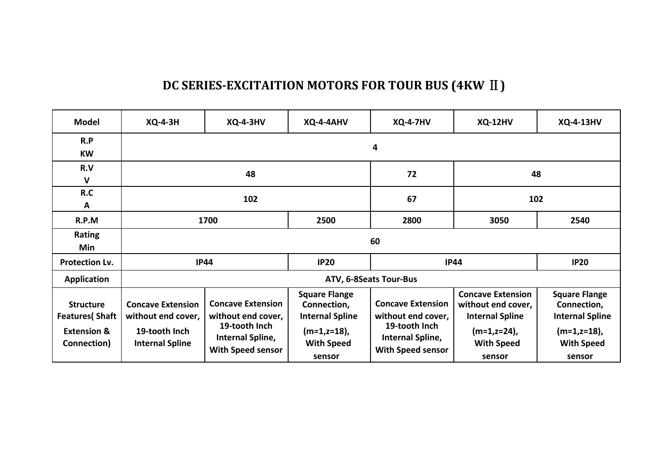### **DC SERIES-EXCITAITION MOTORS FOR TOUR BUS (4KW Ⅱ)**

| <b>Model</b>                                                                        | <b>XQ-4-3H</b>                                                                            | <b>XQ-4-3HV</b>                                                                                          | XQ-4-4AHV                                                                                                       | <b>XQ-4-7HV</b>                                                                                          | <b>XQ-12HV</b>                                                                                                         | <b>XQ-4-13HV</b>                                                                                                |  |  |  |
|-------------------------------------------------------------------------------------|-------------------------------------------------------------------------------------------|----------------------------------------------------------------------------------------------------------|-----------------------------------------------------------------------------------------------------------------|----------------------------------------------------------------------------------------------------------|------------------------------------------------------------------------------------------------------------------------|-----------------------------------------------------------------------------------------------------------------|--|--|--|
| R.P<br><b>KW</b>                                                                    |                                                                                           | 4                                                                                                        |                                                                                                                 |                                                                                                          |                                                                                                                        |                                                                                                                 |  |  |  |
| R.V<br>$\mathsf{V}$                                                                 | 48                                                                                        |                                                                                                          |                                                                                                                 | 72                                                                                                       | 48                                                                                                                     |                                                                                                                 |  |  |  |
| R.C<br>A                                                                            | 102                                                                                       |                                                                                                          |                                                                                                                 | 67                                                                                                       | 102                                                                                                                    |                                                                                                                 |  |  |  |
| R.P.M                                                                               | 1700                                                                                      |                                                                                                          | 2500                                                                                                            | 2800                                                                                                     | 3050                                                                                                                   | 2540                                                                                                            |  |  |  |
| <b>Rating</b><br>Min                                                                | 60                                                                                        |                                                                                                          |                                                                                                                 |                                                                                                          |                                                                                                                        |                                                                                                                 |  |  |  |
| <b>Protection Lv.</b>                                                               |                                                                                           | <b>IP44</b>                                                                                              | <b>IP20</b>                                                                                                     | <b>IP44</b>                                                                                              | <b>IP20</b>                                                                                                            |                                                                                                                 |  |  |  |
| <b>Application</b>                                                                  |                                                                                           |                                                                                                          |                                                                                                                 | ATV, 6-8Seats Tour-Bus                                                                                   |                                                                                                                        |                                                                                                                 |  |  |  |
| <b>Structure</b><br><b>Features</b> (Shaft<br><b>Extension &amp;</b><br>Connection) | <b>Concave Extension</b><br>without end cover,<br>19-tooth Inch<br><b>Internal Spline</b> | <b>Concave Extension</b><br>without end cover,<br>19-tooth Inch<br>Internal Spline,<br>With Speed sensor | <b>Square Flange</b><br>Connection,<br><b>Internal Spline</b><br>$(m=1, z=18)$ ,<br><b>With Speed</b><br>sensor | <b>Concave Extension</b><br>without end cover,<br>19-tooth Inch<br>Internal Spline,<br>With Speed sensor | <b>Concave Extension</b><br>without end cover,<br><b>Internal Spline</b><br>(m=1,z=24),<br><b>With Speed</b><br>sensor | <b>Square Flange</b><br>Connection,<br><b>Internal Spline</b><br>$(m=1, z=18)$ ,<br><b>With Speed</b><br>sensor |  |  |  |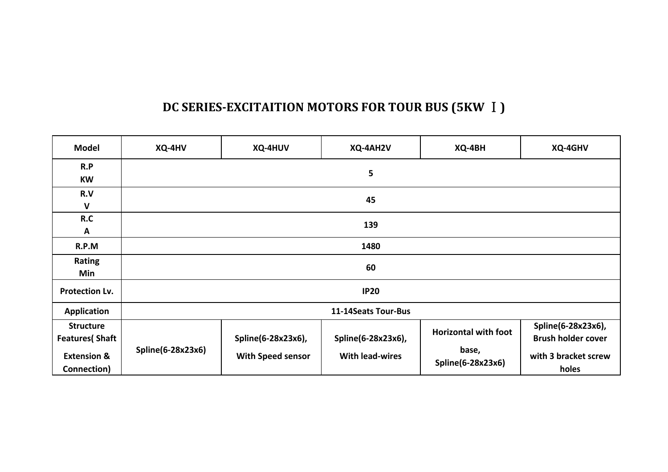# **DC SERIES-EXCITAITION MOTORS FOR TOUR BUS (5KW Ⅰ)**

| <b>Model</b>                                                                        | XQ-4HV            | XQ-4HUV                                 | XQ-4AH2V                                     | XQ-4BH                                                    | XQ-4GHV                                                                          |  |  |  |
|-------------------------------------------------------------------------------------|-------------------|-----------------------------------------|----------------------------------------------|-----------------------------------------------------------|----------------------------------------------------------------------------------|--|--|--|
| R.P<br><b>KW</b>                                                                    |                   | 5                                       |                                              |                                                           |                                                                                  |  |  |  |
| R.V<br>$\mathbf{V}$                                                                 | 45                |                                         |                                              |                                                           |                                                                                  |  |  |  |
| R.C<br>A                                                                            |                   | 139                                     |                                              |                                                           |                                                                                  |  |  |  |
| R.P.M                                                                               |                   | 1480                                    |                                              |                                                           |                                                                                  |  |  |  |
| <b>Rating</b><br>Min                                                                | 60                |                                         |                                              |                                                           |                                                                                  |  |  |  |
| <b>Protection Lv.</b>                                                               | <b>IP20</b>       |                                         |                                              |                                                           |                                                                                  |  |  |  |
| <b>Application</b>                                                                  |                   |                                         | 11-14Seats Tour-Bus                          |                                                           |                                                                                  |  |  |  |
| <b>Structure</b><br><b>Features</b> (Shaft<br><b>Extension &amp;</b><br>Connection) | Spline(6-28x23x6) | Spline(6-28x23x6),<br>With Speed sensor | Spline(6-28x23x6),<br><b>With lead-wires</b> | <b>Horizontal with foot</b><br>base,<br>Spline(6-28x23x6) | Spline(6-28x23x6),<br><b>Brush holder cover</b><br>with 3 bracket screw<br>holes |  |  |  |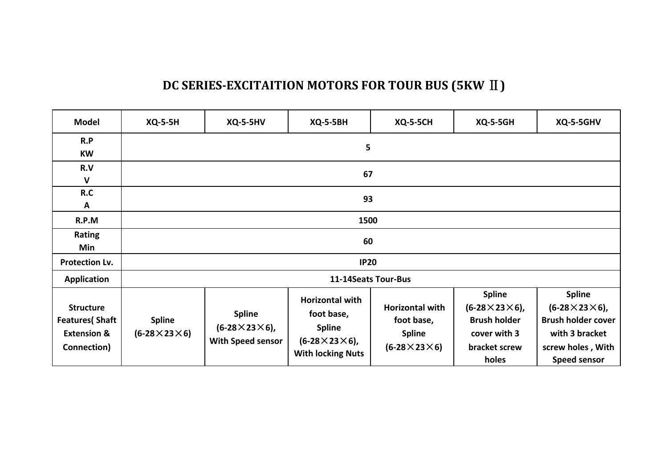### **DC SERIES-EXCITAITION MOTORS FOR TOUR BUS (5KW Ⅱ)**

| <b>Model</b>                                                                        | <b>XQ-5-5H</b>                           | <b>XQ-5-5HV</b>                                                 | <b>XQ-5-5BH</b>                                                                                                | <b>XQ-5-5CH</b>                                                                  | <b>XQ-5-5GH</b>                                                                                             | XQ-5-5GHV                                                                                                                             |  |  |
|-------------------------------------------------------------------------------------|------------------------------------------|-----------------------------------------------------------------|----------------------------------------------------------------------------------------------------------------|----------------------------------------------------------------------------------|-------------------------------------------------------------------------------------------------------------|---------------------------------------------------------------------------------------------------------------------------------------|--|--|
| R.P<br>KW                                                                           |                                          |                                                                 | 5                                                                                                              |                                                                                  |                                                                                                             |                                                                                                                                       |  |  |
| R.V<br>$\mathbf{V}$                                                                 |                                          | 67                                                              |                                                                                                                |                                                                                  |                                                                                                             |                                                                                                                                       |  |  |
| R.C<br>Α                                                                            |                                          | 93                                                              |                                                                                                                |                                                                                  |                                                                                                             |                                                                                                                                       |  |  |
| R.P.M                                                                               |                                          | 1500                                                            |                                                                                                                |                                                                                  |                                                                                                             |                                                                                                                                       |  |  |
| Rating<br>Min                                                                       | 60                                       |                                                                 |                                                                                                                |                                                                                  |                                                                                                             |                                                                                                                                       |  |  |
| <b>Protection Lv.</b>                                                               | <b>IP20</b>                              |                                                                 |                                                                                                                |                                                                                  |                                                                                                             |                                                                                                                                       |  |  |
| <b>Application</b>                                                                  |                                          |                                                                 |                                                                                                                | 11-14Seats Tour-Bus                                                              |                                                                                                             |                                                                                                                                       |  |  |
| <b>Structure</b><br><b>Features</b> (Shaft<br><b>Extension &amp;</b><br>Connection) | <b>Spline</b><br>$(6-28\times23\times6)$ | <b>Spline</b><br>$(6-28\times23\times6)$ ,<br>With Speed sensor | <b>Horizontal with</b><br>foot base,<br><b>Spline</b><br>$(6-28\times23\times6)$ ,<br><b>With locking Nuts</b> | <b>Horizontal with</b><br>foot base,<br><b>Spline</b><br>$(6-28\times23\times6)$ | <b>Spline</b><br>$(6-28\times23\times6)$ ,<br><b>Brush holder</b><br>cover with 3<br>bracket screw<br>holes | <b>Spline</b><br>$(6-28\times23\times6)$ ,<br><b>Brush holder cover</b><br>with 3 bracket<br>screw holes, With<br><b>Speed sensor</b> |  |  |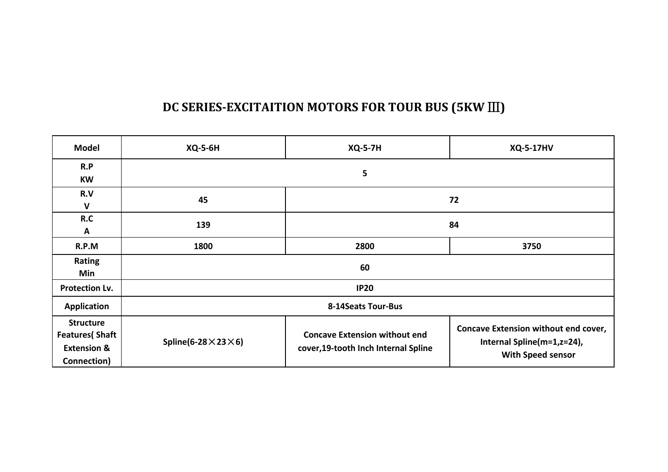# **DC SERIES-EXCITAITION MOTORS FOR TOUR BUS (5KW Ⅲ)**

| <b>Model</b>                                                                        | <b>XQ-5-6H</b>                      | <b>XQ-5-7H</b><br><b>XQ-5-17HV</b>                                           |                                                                                                       |  |  |  |
|-------------------------------------------------------------------------------------|-------------------------------------|------------------------------------------------------------------------------|-------------------------------------------------------------------------------------------------------|--|--|--|
| R.P<br><b>KW</b>                                                                    |                                     | 5                                                                            |                                                                                                       |  |  |  |
| R.V<br>$\mathbf{V}$                                                                 | 45                                  | 72                                                                           |                                                                                                       |  |  |  |
| R.C<br>A                                                                            | 139                                 | 84                                                                           |                                                                                                       |  |  |  |
| R.P.M                                                                               | 1800                                | 2800<br>3750                                                                 |                                                                                                       |  |  |  |
| Rating<br>Min                                                                       |                                     | 60                                                                           |                                                                                                       |  |  |  |
| Protection Lv.                                                                      |                                     | <b>IP20</b>                                                                  |                                                                                                       |  |  |  |
| <b>Application</b>                                                                  |                                     | 8-14Seats Tour-Bus                                                           |                                                                                                       |  |  |  |
| <b>Structure</b><br><b>Features</b> (Shaft<br><b>Extension &amp;</b><br>Connection) | Spline(6-28 $\times$ 23 $\times$ 6) | <b>Concave Extension without end</b><br>cover, 19-tooth Inch Internal Spline | <b>Concave Extension without end cover,</b><br>Internal Spline(m=1,z=24),<br><b>With Speed sensor</b> |  |  |  |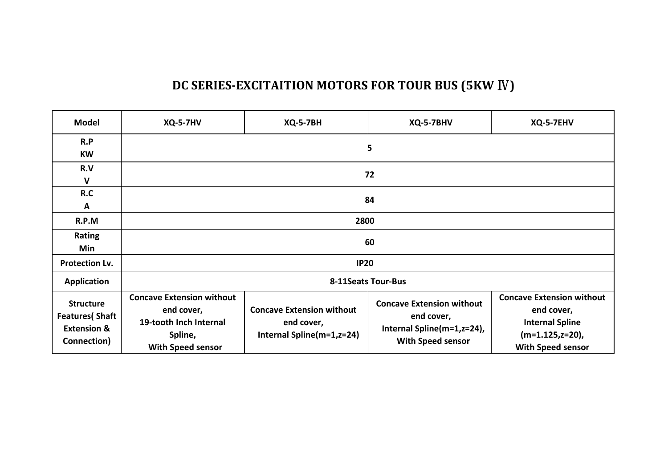### **DC SERIES-EXCITAITION MOTORS FOR TOUR BUS (5KW Ⅳ)**

| <b>Model</b>                                                                        | <b>XQ-5-7HV</b>                                                                                                 | <b>XQ-5-7BH</b>                                                             | XQ-5-7BHV                                                                                                | XQ-5-7EHV                                                                                                                  |  |  |  |
|-------------------------------------------------------------------------------------|-----------------------------------------------------------------------------------------------------------------|-----------------------------------------------------------------------------|----------------------------------------------------------------------------------------------------------|----------------------------------------------------------------------------------------------------------------------------|--|--|--|
| R.P<br><b>KW</b>                                                                    | 5                                                                                                               |                                                                             |                                                                                                          |                                                                                                                            |  |  |  |
| R.V<br>V                                                                            | 72                                                                                                              |                                                                             |                                                                                                          |                                                                                                                            |  |  |  |
| R.C<br>A                                                                            | 84                                                                                                              |                                                                             |                                                                                                          |                                                                                                                            |  |  |  |
| R.P.M                                                                               | 2800                                                                                                            |                                                                             |                                                                                                          |                                                                                                                            |  |  |  |
| Rating<br>Min                                                                       | 60                                                                                                              |                                                                             |                                                                                                          |                                                                                                                            |  |  |  |
| Protection Lv.                                                                      |                                                                                                                 | <b>IP20</b>                                                                 |                                                                                                          |                                                                                                                            |  |  |  |
| Application                                                                         |                                                                                                                 |                                                                             | <b>8-11Seats Tour-Bus</b>                                                                                |                                                                                                                            |  |  |  |
| <b>Structure</b><br><b>Features</b> (Shaft<br><b>Extension &amp;</b><br>Connection) | <b>Concave Extension without</b><br>end cover,<br>19-tooth Inch Internal<br>Spline,<br><b>With Speed sensor</b> | <b>Concave Extension without</b><br>end cover,<br>Internal Spline(m=1,z=24) | <b>Concave Extension without</b><br>end cover,<br>Internal Spline(m=1,z=24),<br><b>With Speed sensor</b> | <b>Concave Extension without</b><br>end cover,<br><b>Internal Spline</b><br>$(m=1.125,z=20)$ ,<br><b>With Speed sensor</b> |  |  |  |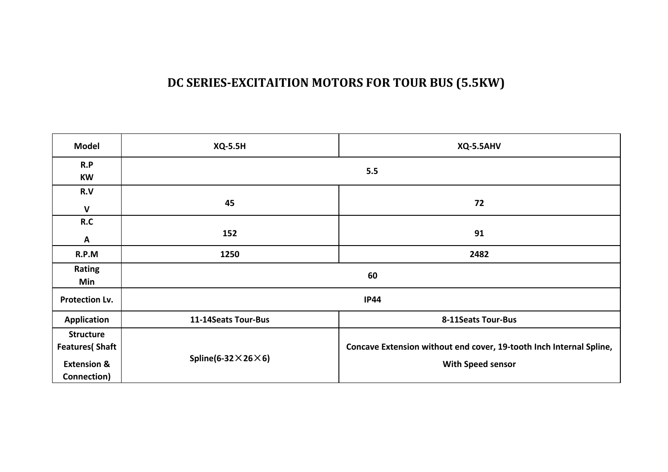### **DC SERIES-EXCITAITION MOTORS FOR TOUR BUS (5.5KW)**

| <b>Model</b>                                                                        | <b>XQ-5.5H</b>                      | XQ-5.5AHV                                                                                       |  |  |  |
|-------------------------------------------------------------------------------------|-------------------------------------|-------------------------------------------------------------------------------------------------|--|--|--|
| R.P<br>KW                                                                           |                                     | 5.5                                                                                             |  |  |  |
| R.V<br>$\mathsf{V}$                                                                 | 45                                  | 72                                                                                              |  |  |  |
| R.C<br>A                                                                            | 152                                 | 91                                                                                              |  |  |  |
| R.P.M                                                                               | 1250                                | 2482                                                                                            |  |  |  |
| Rating<br>Min                                                                       |                                     | 60                                                                                              |  |  |  |
| <b>Protection Lv.</b>                                                               |                                     | <b>IP44</b>                                                                                     |  |  |  |
| <b>Application</b>                                                                  | 11-14Seats Tour-Bus                 | 8-11Seats Tour-Bus                                                                              |  |  |  |
| <b>Structure</b><br><b>Features</b> (Shaft<br><b>Extension &amp;</b><br>Connection) | Spline(6-32 $\times$ 26 $\times$ 6) | Concave Extension without end cover, 19-tooth Inch Internal Spline,<br><b>With Speed sensor</b> |  |  |  |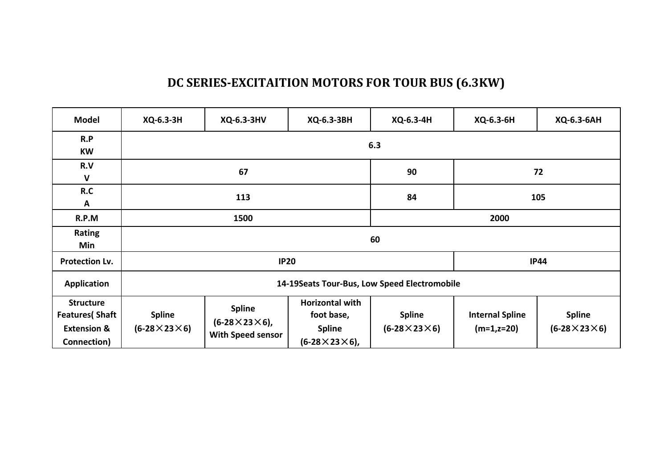### **DC SERIES-EXCITAITION MOTORS FOR TOUR BUS (6.3KW)**

| <b>Model</b>                                                                        | XQ-6.3-3H                                     | XQ-6.3-3HV                                                             | XQ-6.3-3BH                                                                         | XQ-6.3-4H                                | XQ-6.3-6H                               | XQ-6.3-6AH                               |  |
|-------------------------------------------------------------------------------------|-----------------------------------------------|------------------------------------------------------------------------|------------------------------------------------------------------------------------|------------------------------------------|-----------------------------------------|------------------------------------------|--|
| R.P<br><b>KW</b>                                                                    |                                               |                                                                        |                                                                                    | 6.3                                      |                                         |                                          |  |
| R.V<br>$\mathbf{V}$                                                                 | 67                                            |                                                                        |                                                                                    | 90                                       | 72                                      |                                          |  |
| R.C<br>A                                                                            | 113                                           |                                                                        |                                                                                    | 84                                       | 105                                     |                                          |  |
| R.P.M                                                                               | 1500                                          |                                                                        |                                                                                    | 2000                                     |                                         |                                          |  |
| Rating<br>Min                                                                       | 60                                            |                                                                        |                                                                                    |                                          |                                         |                                          |  |
| Protection Lv.                                                                      | <b>IP20</b>                                   |                                                                        |                                                                                    |                                          | <b>IP44</b>                             |                                          |  |
| <b>Application</b>                                                                  | 14-19 Seats Tour-Bus, Low Speed Electromobile |                                                                        |                                                                                    |                                          |                                         |                                          |  |
| <b>Structure</b><br><b>Features</b> (Shaft<br><b>Extension &amp;</b><br>Connection) | <b>Spline</b><br>$(6-28\times23\times6)$      | <b>Spline</b><br>$(6-28\times23\times6)$ ,<br><b>With Speed sensor</b> | <b>Horizontal with</b><br>foot base,<br><b>Spline</b><br>$(6-28\times23\times6)$ , | <b>Spline</b><br>$(6-28\times23\times6)$ | <b>Internal Spline</b><br>$(m=1, z=20)$ | <b>Spline</b><br>$(6-28\times23\times6)$ |  |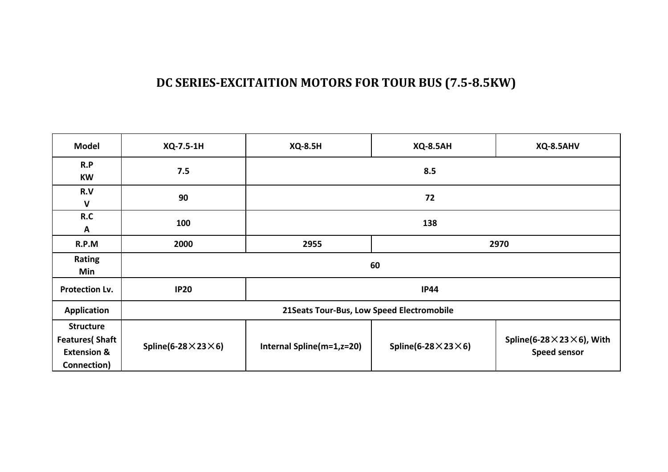### **DC SERIES-EXCITAITION MOTORS FOR TOUR BUS (7.5-8.5KW)**

| <b>Model</b>                                                                        | XQ-7.5-1H                                  | <b>XQ-8.5H</b>            | <b>XQ-8.5AH</b>                     | XQ-8.5AHV                                                        |  |  |
|-------------------------------------------------------------------------------------|--------------------------------------------|---------------------------|-------------------------------------|------------------------------------------------------------------|--|--|
| R.P<br><b>KW</b>                                                                    | 7.5                                        | 8.5                       |                                     |                                                                  |  |  |
| R.V<br>$\mathsf{V}$                                                                 | 90                                         | 72                        |                                     |                                                                  |  |  |
| R.C<br>A                                                                            | 100                                        | 138                       |                                     |                                                                  |  |  |
| R.P.M                                                                               | 2000                                       | 2955                      | 2970                                |                                                                  |  |  |
| Rating<br>Min                                                                       | 60                                         |                           |                                     |                                                                  |  |  |
| Protection Lv.                                                                      | <b>IP20</b>                                | <b>IP44</b>               |                                     |                                                                  |  |  |
| Application                                                                         | 21 Seats Tour-Bus, Low Speed Electromobile |                           |                                     |                                                                  |  |  |
| <b>Structure</b><br><b>Features</b> (Shaft<br><b>Extension &amp;</b><br>Connection) | Spline(6-28 $\times$ 23 $\times$ 6)        | Internal Spline(m=1,z=20) | Spline(6-28 $\times$ 23 $\times$ 6) | Spline(6-28 $\times$ 23 $\times$ 6), With<br><b>Speed sensor</b> |  |  |